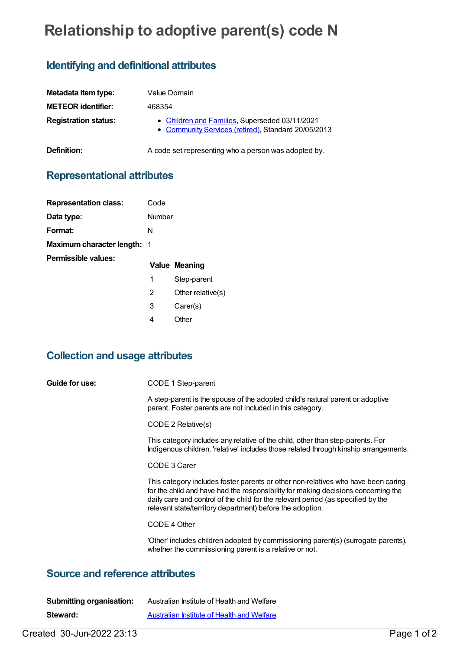# **Relationship to adoptive parent(s) code N**

## **Identifying and definitional attributes**

| Metadata item type:         | Value Domain                                                                                          |
|-----------------------------|-------------------------------------------------------------------------------------------------------|
| <b>METEOR identifier:</b>   | 468354                                                                                                |
| <b>Registration status:</b> | • Children and Families, Superseded 03/11/2021<br>• Community Services (retired), Standard 20/05/2013 |
| Definition:                 | A code set representing who a person was adopted by.                                                  |

### **Representational attributes**

| <b>Representation class:</b>       | Code   |                   |
|------------------------------------|--------|-------------------|
| Data type:                         | Number |                   |
| Format:                            | N      |                   |
| <b>Maximum character length: 1</b> |        |                   |
| Permissible values:                |        | Value Meaning     |
|                                    | 1      | Step-parent       |
|                                    | 2      | Other relative(s) |
|                                    | 3      | Carer(s)          |

## **Collection and usage attributes**

4 Other

| Guide for use:                           | CODE 1 Step-parent                                                                                                                                                                                                                                                                                                      |  |
|------------------------------------------|-------------------------------------------------------------------------------------------------------------------------------------------------------------------------------------------------------------------------------------------------------------------------------------------------------------------------|--|
|                                          | A step-parent is the spouse of the adopted child's natural parent or adoptive<br>parent. Foster parents are not included in this category.                                                                                                                                                                              |  |
|                                          | CODE 2 Relative(s)                                                                                                                                                                                                                                                                                                      |  |
|                                          | This category includes any relative of the child, other than step-parents. For<br>Indigenous children, 'relative' includes those related through kinship arrangements.                                                                                                                                                  |  |
|                                          | CODE 3 Carer                                                                                                                                                                                                                                                                                                            |  |
|                                          | This category includes foster parents or other non-relatives who have been caring<br>for the child and have had the responsibility for making decisions concerning the<br>daily care and control of the child for the relevant period (as specified by the<br>relevant state/territory department) before the adoption. |  |
|                                          | CODE 4 Other                                                                                                                                                                                                                                                                                                            |  |
|                                          | 'Other' includes children adopted by commissioning parent(s) (surrogate parents),<br>whether the commissioning parent is a relative or not.                                                                                                                                                                             |  |
| <b>Course and reference officialized</b> |                                                                                                                                                                                                                                                                                                                         |  |

#### **Source and reference attributes**

| <b>Submitting organisation:</b> | Australian Institute of Health and Welfare |
|---------------------------------|--------------------------------------------|
| Steward:                        | Australian Institute of Health and Welfare |